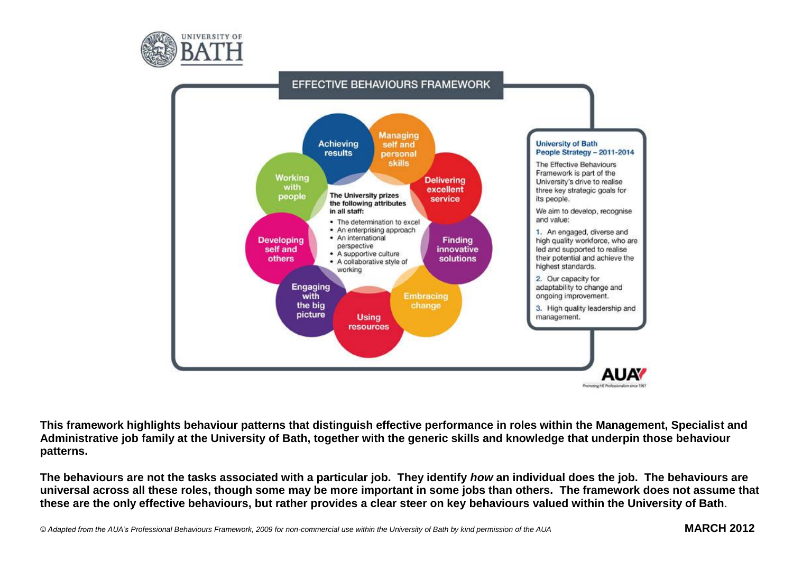



**This framework highlights behaviour patterns that distinguish effective performance in roles within the Management, Specialist and Administrative job family at the University of Bath, together with the generic skills and knowledge that underpin those behaviour patterns.**

**The behaviours are not the tasks associated with a particular job. They identify** *how* **an individual does the job. The behaviours are universal across all these roles, though some may be more important in some jobs than others. The framework does not assume that these are the only effective behaviours, but rather provides a clear steer on key behaviours valued within the University of Bath**.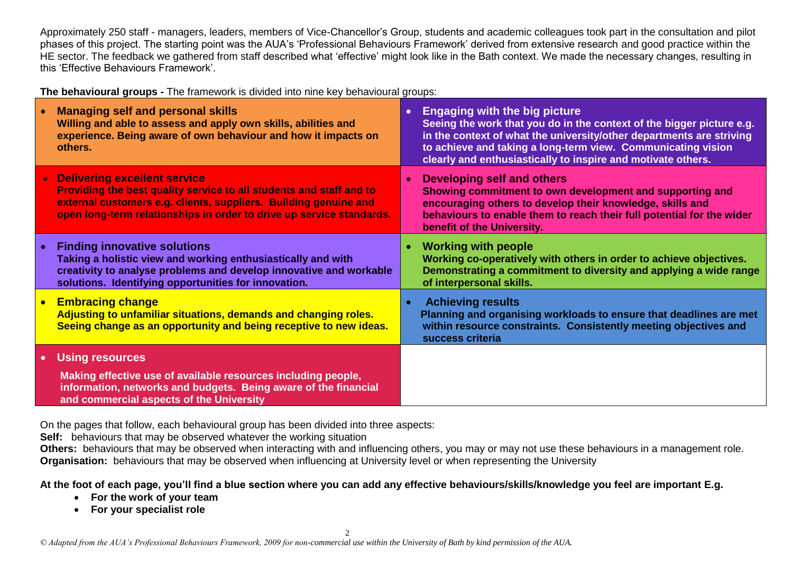Approximately 250 staff - managers, leaders, members of Vice-Chancellor's Group, students and academic colleagues took part in the consultation and pilot phases of this project. The starting point was the AUA's 'Professional Behaviours Framework' derived from extensive research and good practice within the HE sector. The feedback we gathered from staff described what 'effective' might look like in the Bath context. We made the necessary changes, resulting in this 'Effective Behaviours Framework'.

**The behavioural groups -** The framework is divided into nine key behavioural groups:

| $\bullet$ | <b>Managing self and personal skills</b><br>Willing and able to assess and apply own skills, abilities and<br>experience. Being aware of own behaviour and how it impacts on<br>others.                                                           |           | <b>Engaging with the big picture</b><br>Seeing the work that you do in the context of the bigger picture e.g.<br>in the context of what the university/other departments are striving<br>to achieve and taking a long-term view. Communicating vision<br>clearly and enthusiastically to inspire and motivate others. |
|-----------|---------------------------------------------------------------------------------------------------------------------------------------------------------------------------------------------------------------------------------------------------|-----------|-----------------------------------------------------------------------------------------------------------------------------------------------------------------------------------------------------------------------------------------------------------------------------------------------------------------------|
|           | • Delivering excellent service<br>Providing the best quality service to all students and staff and to<br>external customers e.g. clients, suppliers. Building genuine and<br>open long-term relationships in order to drive up service standards. |           | Developing self and others<br>Showing commitment to own development and supporting and<br>encouraging others to develop their knowledge, skills and<br>behaviours to enable them to reach their full potential for the wider<br>benefit of the University.                                                            |
|           | <b>Finding innovative solutions</b><br>Taking a holistic view and working enthusiastically and with<br>creativity to analyse problems and develop innovative and workable<br>solutions. Identifying opportunities for innovation.                 | $\bullet$ | <b>Working with people</b><br>Working co-operatively with others in order to achieve objectives.<br>Demonstrating a commitment to diversity and applying a wide range<br>of interpersonal skills.                                                                                                                     |
|           | • Embracing change<br>Adjusting to unfamiliar situations, demands and changing roles.<br>Seeing change as an opportunity and being receptive to new ideas.                                                                                        |           | <b>Achieving results</b><br>Planning and organising workloads to ensure that deadlines are met<br>within resource constraints. Consistently meeting objectives and<br>success criteria                                                                                                                                |
| $\bullet$ | <b>Using resources</b>                                                                                                                                                                                                                            |           |                                                                                                                                                                                                                                                                                                                       |
|           | Making effective use of available resources including people,<br>information, networks and budgets. Being aware of the financial<br>and commercial aspects of the University                                                                      |           |                                                                                                                                                                                                                                                                                                                       |

On the pages that follow, each behavioural group has been divided into three aspects:

**Self:** behaviours that may be observed whatever the working situation

**Others:** behaviours that may be observed when interacting with and influencing others, you may or may not use these behaviours in a management role. **Organisation:** behaviours that may be observed when influencing at University level or when representing the University

**At the foot of each page, you'll find a blue section where you can add any effective behaviours/skills/knowledge you feel are important E.g.** 

- **For the work of your team**
- **For your specialist role**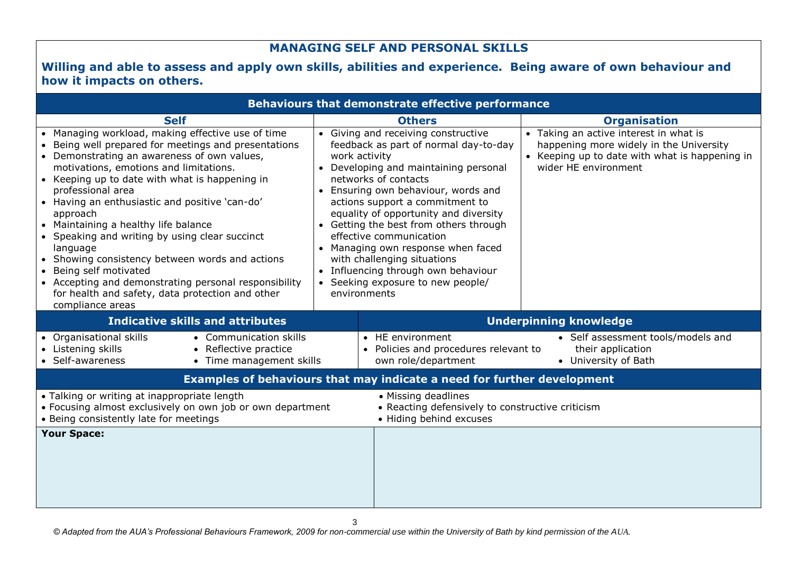### **MANAGING SELF AND PERSONAL SKILLS**

#### **Willing and able to assess and apply own skills, abilities and experience. Being aware of own behaviour and how it impacts on others.**

|                                                                                                                                                                                                                                                                                                                                                                                                                                                                                                                                                                                                                                                           |  | <b>Behaviours that demonstrate effective performance</b>                                                                                                                                                                                                                                                                                                                                                                                                                                                            |                                                                                                                                                             |  |
|-----------------------------------------------------------------------------------------------------------------------------------------------------------------------------------------------------------------------------------------------------------------------------------------------------------------------------------------------------------------------------------------------------------------------------------------------------------------------------------------------------------------------------------------------------------------------------------------------------------------------------------------------------------|--|---------------------------------------------------------------------------------------------------------------------------------------------------------------------------------------------------------------------------------------------------------------------------------------------------------------------------------------------------------------------------------------------------------------------------------------------------------------------------------------------------------------------|-------------------------------------------------------------------------------------------------------------------------------------------------------------|--|
| <b>Self</b>                                                                                                                                                                                                                                                                                                                                                                                                                                                                                                                                                                                                                                               |  | <b>Others</b>                                                                                                                                                                                                                                                                                                                                                                                                                                                                                                       | <b>Organisation</b>                                                                                                                                         |  |
| • Managing workload, making effective use of time<br>Being well prepared for meetings and presentations<br>• Demonstrating an awareness of own values,<br>motivations, emotions and limitations.<br>• Keeping up to date with what is happening in<br>professional area<br>• Having an enthusiastic and positive 'can-do'<br>approach<br>• Maintaining a healthy life balance<br>• Speaking and writing by using clear succinct<br>language<br>• Showing consistency between words and actions<br>• Being self motivated<br>• Accepting and demonstrating personal responsibility<br>for health and safety, data protection and other<br>compliance areas |  | • Giving and receiving constructive<br>feedback as part of normal day-to-day<br>work activity<br>• Developing and maintaining personal<br>networks of contacts<br>• Ensuring own behaviour, words and<br>actions support a commitment to<br>equality of opportunity and diversity<br>• Getting the best from others through<br>effective communication<br>• Managing own response when faced<br>with challenging situations<br>Influencing through own behaviour<br>Seeking exposure to new people/<br>environments | • Taking an active interest in what is<br>happening more widely in the University<br>• Keeping up to date with what is happening in<br>wider HE environment |  |
| <b>Indicative skills and attributes</b>                                                                                                                                                                                                                                                                                                                                                                                                                                                                                                                                                                                                                   |  | <b>Underpinning knowledge</b>                                                                                                                                                                                                                                                                                                                                                                                                                                                                                       |                                                                                                                                                             |  |
| • Organisational skills<br>• Communication skills<br>• Listening skills<br>• Reflective practice<br>• Self-awareness<br>• Time management skills                                                                                                                                                                                                                                                                                                                                                                                                                                                                                                          |  | • HE environment<br>• Policies and procedures relevant to<br>own role/department                                                                                                                                                                                                                                                                                                                                                                                                                                    | • Self assessment tools/models and<br>their application<br>• University of Bath                                                                             |  |
|                                                                                                                                                                                                                                                                                                                                                                                                                                                                                                                                                                                                                                                           |  | Examples of behaviours that may indicate a need for further development                                                                                                                                                                                                                                                                                                                                                                                                                                             |                                                                                                                                                             |  |
| • Talking or writing at inappropriate length<br>• Focusing almost exclusively on own job or own department<br>• Being consistently late for meetings                                                                                                                                                                                                                                                                                                                                                                                                                                                                                                      |  | • Missing deadlines<br>• Reacting defensively to constructive criticism<br>• Hiding behind excuses                                                                                                                                                                                                                                                                                                                                                                                                                  |                                                                                                                                                             |  |
| <b>Your Space:</b>                                                                                                                                                                                                                                                                                                                                                                                                                                                                                                                                                                                                                                        |  |                                                                                                                                                                                                                                                                                                                                                                                                                                                                                                                     |                                                                                                                                                             |  |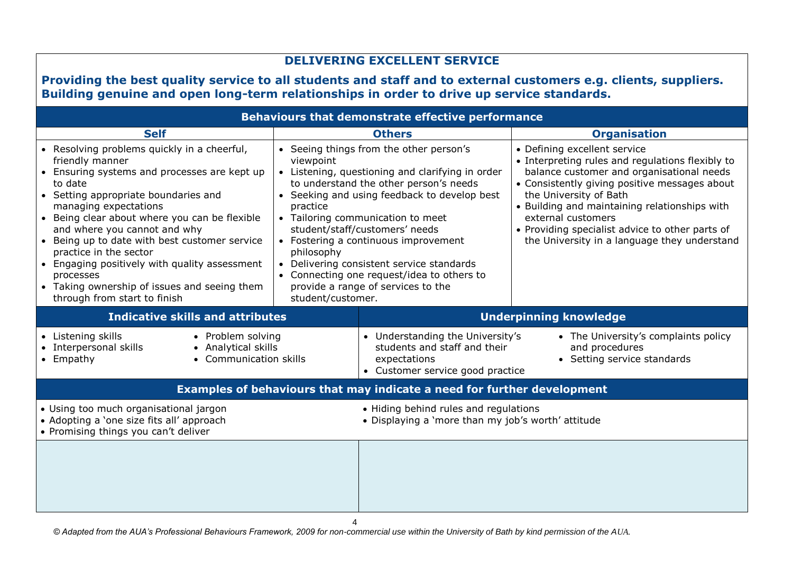| <b>DELIVERING EXCELLENT SERVICE</b>                                                                                                                                                                                                                                                                                                                                                                                                                                                                                 |                                                                                           |                                                                                                                                                                                                                                                                                                                                                                                                                                                        |                                                                                                                                                                                                                                                                                                                                                                                                           |  |  |  |  |  |
|---------------------------------------------------------------------------------------------------------------------------------------------------------------------------------------------------------------------------------------------------------------------------------------------------------------------------------------------------------------------------------------------------------------------------------------------------------------------------------------------------------------------|-------------------------------------------------------------------------------------------|--------------------------------------------------------------------------------------------------------------------------------------------------------------------------------------------------------------------------------------------------------------------------------------------------------------------------------------------------------------------------------------------------------------------------------------------------------|-----------------------------------------------------------------------------------------------------------------------------------------------------------------------------------------------------------------------------------------------------------------------------------------------------------------------------------------------------------------------------------------------------------|--|--|--|--|--|
| Providing the best quality service to all students and staff and to external customers e.g. clients, suppliers.                                                                                                                                                                                                                                                                                                                                                                                                     |                                                                                           |                                                                                                                                                                                                                                                                                                                                                                                                                                                        |                                                                                                                                                                                                                                                                                                                                                                                                           |  |  |  |  |  |
|                                                                                                                                                                                                                                                                                                                                                                                                                                                                                                                     | Building genuine and open long-term relationships in order to drive up service standards. |                                                                                                                                                                                                                                                                                                                                                                                                                                                        |                                                                                                                                                                                                                                                                                                                                                                                                           |  |  |  |  |  |
|                                                                                                                                                                                                                                                                                                                                                                                                                                                                                                                     |                                                                                           | Behaviours that demonstrate effective performance                                                                                                                                                                                                                                                                                                                                                                                                      |                                                                                                                                                                                                                                                                                                                                                                                                           |  |  |  |  |  |
| <b>Self</b><br>• Resolving problems quickly in a cheerful,<br>friendly manner<br>• Ensuring systems and processes are kept up<br>to date<br>• Setting appropriate boundaries and<br>managing expectations<br>• Being clear about where you can be flexible<br>and where you cannot and why<br>• Being up to date with best customer service<br>practice in the sector<br>• Engaging positively with quality assessment<br>processes<br>• Taking ownership of issues and seeing them<br>through from start to finish | viewpoint<br>practice<br>philosophy<br>student/customer.                                  | <b>Others</b><br>• Seeing things from the other person's<br>• Listening, questioning and clarifying in order<br>to understand the other person's needs<br>• Seeking and using feedback to develop best<br>• Tailoring communication to meet<br>student/staff/customers' needs<br>• Fostering a continuous improvement<br>• Delivering consistent service standards<br>• Connecting one request/idea to others to<br>provide a range of services to the | <b>Organisation</b><br>• Defining excellent service<br>• Interpreting rules and regulations flexibly to<br>balance customer and organisational needs<br>• Consistently giving positive messages about<br>the University of Bath<br>• Building and maintaining relationships with<br>external customers<br>• Providing specialist advice to other parts of<br>the University in a language they understand |  |  |  |  |  |
| <b>Indicative skills and attributes</b>                                                                                                                                                                                                                                                                                                                                                                                                                                                                             |                                                                                           |                                                                                                                                                                                                                                                                                                                                                                                                                                                        | <b>Underpinning knowledge</b>                                                                                                                                                                                                                                                                                                                                                                             |  |  |  |  |  |
| • Listening skills<br>• Problem solving<br>• Interpersonal skills<br>• Analytical skills<br>• Empathy<br>• Communication skills                                                                                                                                                                                                                                                                                                                                                                                     |                                                                                           | • Understanding the University's<br>students and staff and their<br>expectations<br>• Customer service good practice                                                                                                                                                                                                                                                                                                                                   | • The University's complaints policy<br>and procedures<br>• Setting service standards                                                                                                                                                                                                                                                                                                                     |  |  |  |  |  |
|                                                                                                                                                                                                                                                                                                                                                                                                                                                                                                                     |                                                                                           | Examples of behaviours that may indicate a need for further development                                                                                                                                                                                                                                                                                                                                                                                |                                                                                                                                                                                                                                                                                                                                                                                                           |  |  |  |  |  |
| • Using too much organisational jargon<br>• Adopting a 'one size fits all' approach<br>• Promising things you can't deliver                                                                                                                                                                                                                                                                                                                                                                                         |                                                                                           | • Hiding behind rules and regulations<br>· Displaying a 'more than my job's worth' attitude                                                                                                                                                                                                                                                                                                                                                            |                                                                                                                                                                                                                                                                                                                                                                                                           |  |  |  |  |  |
|                                                                                                                                                                                                                                                                                                                                                                                                                                                                                                                     | 4                                                                                         |                                                                                                                                                                                                                                                                                                                                                                                                                                                        |                                                                                                                                                                                                                                                                                                                                                                                                           |  |  |  |  |  |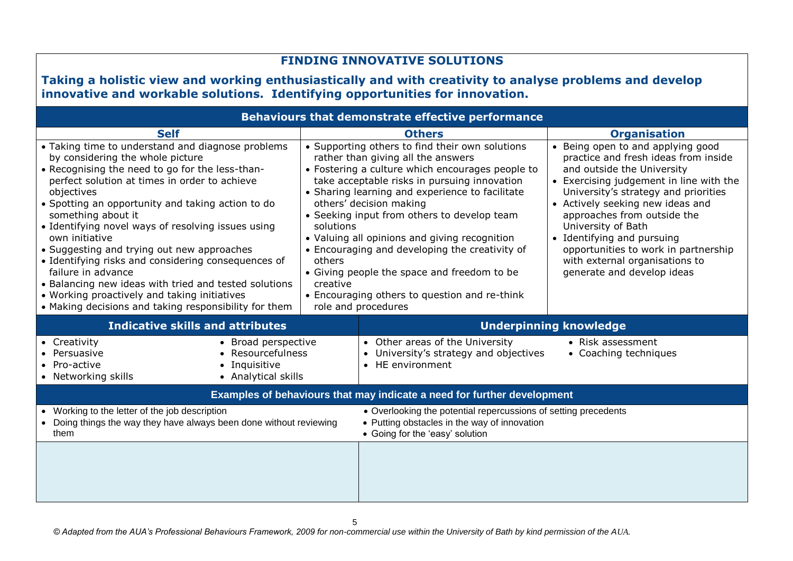| <b>FINDING INNOVATIVE SOLUTIONS</b><br>Taking a holistic view and working enthusiastically and with creativity to analyse problems and develop<br>innovative and workable solutions. Identifying opportunities for innovation.                                                                                                                                                                                                                                                                                                                                                                                                                                         |                                                                         |                                                                                                                                                                                                                                                                                                                                                                                                                                                                                                                                                                   |                                                                                                                                                                                                                                                                                                                                                                                                                                                  |  |  |  |  |
|------------------------------------------------------------------------------------------------------------------------------------------------------------------------------------------------------------------------------------------------------------------------------------------------------------------------------------------------------------------------------------------------------------------------------------------------------------------------------------------------------------------------------------------------------------------------------------------------------------------------------------------------------------------------|-------------------------------------------------------------------------|-------------------------------------------------------------------------------------------------------------------------------------------------------------------------------------------------------------------------------------------------------------------------------------------------------------------------------------------------------------------------------------------------------------------------------------------------------------------------------------------------------------------------------------------------------------------|--------------------------------------------------------------------------------------------------------------------------------------------------------------------------------------------------------------------------------------------------------------------------------------------------------------------------------------------------------------------------------------------------------------------------------------------------|--|--|--|--|
| <b>Behaviours that demonstrate effective performance</b>                                                                                                                                                                                                                                                                                                                                                                                                                                                                                                                                                                                                               |                                                                         |                                                                                                                                                                                                                                                                                                                                                                                                                                                                                                                                                                   |                                                                                                                                                                                                                                                                                                                                                                                                                                                  |  |  |  |  |
| <b>Self</b><br>• Taking time to understand and diagnose problems<br>by considering the whole picture<br>• Recognising the need to go for the less-than-<br>perfect solution at times in order to achieve<br>objectives<br>• Spotting an opportunity and taking action to do<br>something about it<br>· Identifying novel ways of resolving issues using<br>own initiative<br>• Suggesting and trying out new approaches<br>• Identifying risks and considering consequences of<br>failure in advance<br>• Balancing new ideas with tried and tested solutions<br>• Working proactively and taking initiatives<br>• Making decisions and taking responsibility for them | solutions<br>others<br>creative                                         | <b>Others</b><br>• Supporting others to find their own solutions<br>rather than giving all the answers<br>• Fostering a culture which encourages people to<br>take acceptable risks in pursuing innovation<br>• Sharing learning and experience to facilitate<br>others' decision making<br>• Seeking input from others to develop team<br>• Valuing all opinions and giving recognition<br>• Encouraging and developing the creativity of<br>• Giving people the space and freedom to be<br>• Encouraging others to question and re-think<br>role and procedures | <b>Organisation</b><br>• Being open to and applying good<br>practice and fresh ideas from inside<br>and outside the University<br>• Exercising judgement in line with the<br>University's strategy and priorities<br>• Actively seeking new ideas and<br>approaches from outside the<br>University of Bath<br>• Identifying and pursuing<br>opportunities to work in partnership<br>with external organisations to<br>generate and develop ideas |  |  |  |  |
| <b>Indicative skills and attributes</b>                                                                                                                                                                                                                                                                                                                                                                                                                                                                                                                                                                                                                                |                                                                         | <b>Underpinning knowledge</b>                                                                                                                                                                                                                                                                                                                                                                                                                                                                                                                                     |                                                                                                                                                                                                                                                                                                                                                                                                                                                  |  |  |  |  |
| • Broad perspective<br>• Creativity<br>• Persuasive<br>• Resourcefulness<br>• Inquisitive<br>• Pro-active<br>• Networking skills<br>• Analytical skills                                                                                                                                                                                                                                                                                                                                                                                                                                                                                                                |                                                                         | • Other areas of the University<br>• University's strategy and objectives<br>• HE environment                                                                                                                                                                                                                                                                                                                                                                                                                                                                     | • Risk assessment<br>• Coaching techniques                                                                                                                                                                                                                                                                                                                                                                                                       |  |  |  |  |
|                                                                                                                                                                                                                                                                                                                                                                                                                                                                                                                                                                                                                                                                        | Examples of behaviours that may indicate a need for further development |                                                                                                                                                                                                                                                                                                                                                                                                                                                                                                                                                                   |                                                                                                                                                                                                                                                                                                                                                                                                                                                  |  |  |  |  |
| • Working to the letter of the job description<br>• Doing things the way they have always been done without reviewing<br>them                                                                                                                                                                                                                                                                                                                                                                                                                                                                                                                                          |                                                                         | • Overlooking the potential repercussions of setting precedents<br>• Putting obstacles in the way of innovation<br>• Going for the 'easy' solution                                                                                                                                                                                                                                                                                                                                                                                                                |                                                                                                                                                                                                                                                                                                                                                                                                                                                  |  |  |  |  |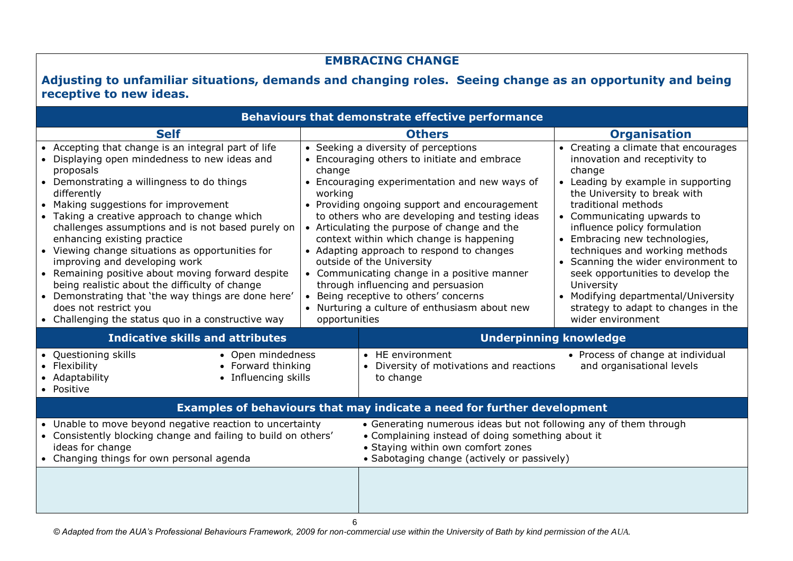# **EMBRACING CHANGE**

## **Adjusting to unfamiliar situations, demands and changing roles. Seeing change as an opportunity and being receptive to new ideas.**

| <b>Behaviours that demonstrate effective performance</b>                                                                                                                                                                                                                                                                                                                                                                                                                                                                                                                                                                                                                                     |                                    |                                                                                                                                                                                                                                                                                                                                                                                                                                                                                                                                                                                             |                                                                                                                                                                                                                                                                                                                                                                                                                                                                                                            |  |  |  |
|----------------------------------------------------------------------------------------------------------------------------------------------------------------------------------------------------------------------------------------------------------------------------------------------------------------------------------------------------------------------------------------------------------------------------------------------------------------------------------------------------------------------------------------------------------------------------------------------------------------------------------------------------------------------------------------------|------------------------------------|---------------------------------------------------------------------------------------------------------------------------------------------------------------------------------------------------------------------------------------------------------------------------------------------------------------------------------------------------------------------------------------------------------------------------------------------------------------------------------------------------------------------------------------------------------------------------------------------|------------------------------------------------------------------------------------------------------------------------------------------------------------------------------------------------------------------------------------------------------------------------------------------------------------------------------------------------------------------------------------------------------------------------------------------------------------------------------------------------------------|--|--|--|
| <b>Self</b>                                                                                                                                                                                                                                                                                                                                                                                                                                                                                                                                                                                                                                                                                  |                                    | <b>Others</b>                                                                                                                                                                                                                                                                                                                                                                                                                                                                                                                                                                               | <b>Organisation</b>                                                                                                                                                                                                                                                                                                                                                                                                                                                                                        |  |  |  |
| • Accepting that change is an integral part of life<br>• Displaying open mindedness to new ideas and<br>proposals<br>• Demonstrating a willingness to do things<br>differently<br>• Making suggestions for improvement<br>• Taking a creative approach to change which<br>challenges assumptions and is not based purely on<br>enhancing existing practice<br>• Viewing change situations as opportunities for<br>improving and developing work<br>• Remaining positive about moving forward despite<br>being realistic about the difficulty of change<br>• Demonstrating that 'the way things are done here'<br>does not restrict you<br>• Challenging the status quo in a constructive way | change<br>working<br>opportunities | • Seeking a diversity of perceptions<br>• Encouraging others to initiate and embrace<br>• Encouraging experimentation and new ways of<br>• Providing ongoing support and encouragement<br>to others who are developing and testing ideas<br>• Articulating the purpose of change and the<br>context within which change is happening<br>• Adapting approach to respond to changes<br>outside of the University<br>• Communicating change in a positive manner<br>through influencing and persuasion<br>Being receptive to others' concerns<br>• Nurturing a culture of enthusiasm about new | • Creating a climate that encourages<br>innovation and receptivity to<br>change<br>• Leading by example in supporting<br>the University to break with<br>traditional methods<br>• Communicating upwards to<br>influence policy formulation<br>• Embracing new technologies,<br>techniques and working methods<br>• Scanning the wider environment to<br>seek opportunities to develop the<br>University<br>• Modifying departmental/University<br>strategy to adapt to changes in the<br>wider environment |  |  |  |
| <b>Indicative skills and attributes</b>                                                                                                                                                                                                                                                                                                                                                                                                                                                                                                                                                                                                                                                      |                                    | <b>Underpinning knowledge</b>                                                                                                                                                                                                                                                                                                                                                                                                                                                                                                                                                               |                                                                                                                                                                                                                                                                                                                                                                                                                                                                                                            |  |  |  |
| • Questioning skills<br>• Open mindedness<br>• Forward thinking<br>• Flexibility<br>• Influencing skills<br>• Adaptability<br>• Positive                                                                                                                                                                                                                                                                                                                                                                                                                                                                                                                                                     |                                    | • HE environment<br>Diversity of motivations and reactions<br>to change                                                                                                                                                                                                                                                                                                                                                                                                                                                                                                                     | • Process of change at individual<br>and organisational levels                                                                                                                                                                                                                                                                                                                                                                                                                                             |  |  |  |
|                                                                                                                                                                                                                                                                                                                                                                                                                                                                                                                                                                                                                                                                                              |                                    | Examples of behaviours that may indicate a need for further development                                                                                                                                                                                                                                                                                                                                                                                                                                                                                                                     |                                                                                                                                                                                                                                                                                                                                                                                                                                                                                                            |  |  |  |
| • Unable to move beyond negative reaction to uncertainty<br>• Consistently blocking change and failing to build on others'<br>ideas for change<br>• Changing things for own personal agenda                                                                                                                                                                                                                                                                                                                                                                                                                                                                                                  |                                    | • Generating numerous ideas but not following any of them through<br>• Complaining instead of doing something about it<br>• Staying within own comfort zones<br>• Sabotaging change (actively or passively)                                                                                                                                                                                                                                                                                                                                                                                 |                                                                                                                                                                                                                                                                                                                                                                                                                                                                                                            |  |  |  |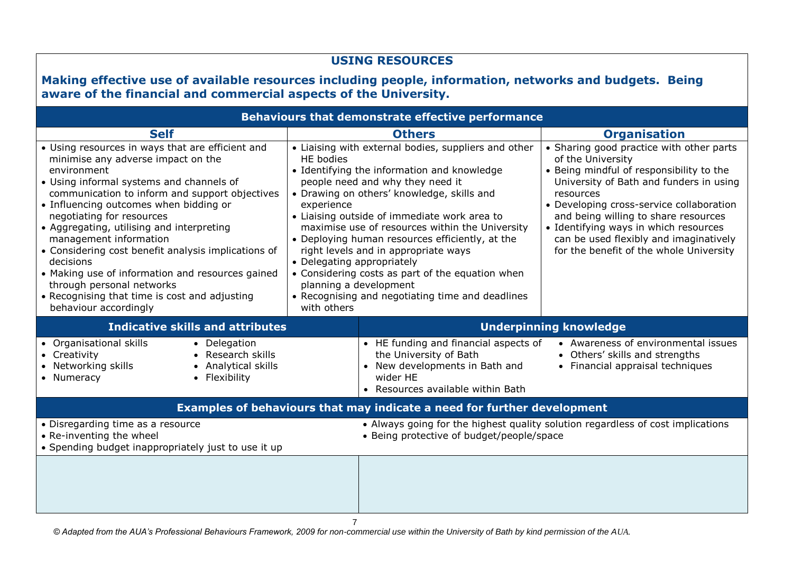| <b>USING RESOURCES</b><br>Making effective use of available resources including people, information, networks and budgets. Being<br>aware of the financial and commercial aspects of the University.                                                                                                                                                                                                                                                                                     |                                                       |                                                                                                                                                                                                                                                                                                                                                                                                                                                          |                                                                                                                                                                                                                                                                                                                                                                                                            |  |  |  |
|------------------------------------------------------------------------------------------------------------------------------------------------------------------------------------------------------------------------------------------------------------------------------------------------------------------------------------------------------------------------------------------------------------------------------------------------------------------------------------------|-------------------------------------------------------|----------------------------------------------------------------------------------------------------------------------------------------------------------------------------------------------------------------------------------------------------------------------------------------------------------------------------------------------------------------------------------------------------------------------------------------------------------|------------------------------------------------------------------------------------------------------------------------------------------------------------------------------------------------------------------------------------------------------------------------------------------------------------------------------------------------------------------------------------------------------------|--|--|--|
|                                                                                                                                                                                                                                                                                                                                                                                                                                                                                          |                                                       | <b>Behaviours that demonstrate effective performance</b>                                                                                                                                                                                                                                                                                                                                                                                                 |                                                                                                                                                                                                                                                                                                                                                                                                            |  |  |  |
| <b>Self</b><br>• Using resources in ways that are efficient and<br>minimise any adverse impact on the<br>environment<br>• Using informal systems and channels of<br>communication to inform and support objectives<br>• Influencing outcomes when bidding or<br>negotiating for resources<br>• Aggregating, utilising and interpreting<br>management information<br>• Considering cost benefit analysis implications of<br>decisions<br>• Making use of information and resources gained | HE bodies<br>experience<br>• Delegating appropriately | <b>Others</b><br>• Liaising with external bodies, suppliers and other<br>• Identifying the information and knowledge<br>people need and why they need it<br>• Drawing on others' knowledge, skills and<br>• Liaising outside of immediate work area to<br>maximise use of resources within the University<br>• Deploying human resources efficiently, at the<br>right levels and in appropriate ways<br>• Considering costs as part of the equation when | <b>Organisation</b><br>• Sharing good practice with other parts<br>of the University<br>• Being mindful of responsibility to the<br>University of Bath and funders in using<br>resources<br>• Developing cross-service collaboration<br>and being willing to share resources<br>• Identifying ways in which resources<br>can be used flexibly and imaginatively<br>for the benefit of the whole University |  |  |  |
| through personal networks<br>• Recognising that time is cost and adjusting<br>behaviour accordingly<br><b>Indicative skills and attributes</b><br>• Organisational skills<br>• Delegation<br>• Creativity<br>• Research skills<br>• Networking skills<br>• Analytical skills<br>• Flexibility<br>• Numeracy                                                                                                                                                                              | with others                                           | planning a development<br>• Recognising and negotiating time and deadlines<br>• HE funding and financial aspects of<br>the University of Bath<br>• New developments in Bath and<br>wider HE<br>• Resources available within Bath                                                                                                                                                                                                                         | <b>Underpinning knowledge</b><br>• Awareness of environmental issues<br>• Others' skills and strengths<br>• Financial appraisal techniques                                                                                                                                                                                                                                                                 |  |  |  |
|                                                                                                                                                                                                                                                                                                                                                                                                                                                                                          |                                                       | Examples of behaviours that may indicate a need for further development                                                                                                                                                                                                                                                                                                                                                                                  |                                                                                                                                                                                                                                                                                                                                                                                                            |  |  |  |
| • Disregarding time as a resource<br>• Re-inventing the wheel<br>• Spending budget inappropriately just to use it up                                                                                                                                                                                                                                                                                                                                                                     |                                                       | • Being protective of budget/people/space                                                                                                                                                                                                                                                                                                                                                                                                                | • Always going for the highest quality solution regardless of cost implications                                                                                                                                                                                                                                                                                                                            |  |  |  |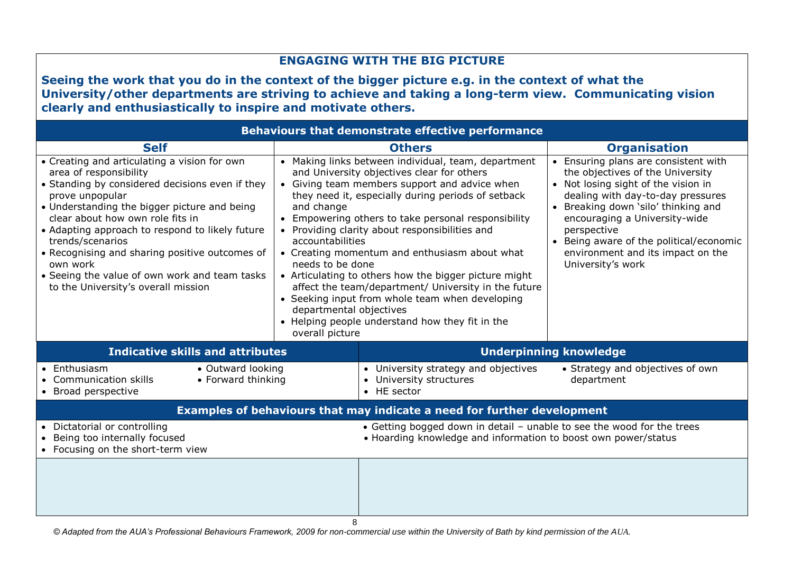| <b>ENGAGING WITH THE BIG PICTURE</b>                                                                                                                                                                                                                                                                                                                                                                                                                          |                                                                                                                                                                                                                                                                                                                                                                                                                                                                                                                                                                                                                                                                                                                                                                                                                                                                                                                                                                                                                                                   |                                                                                |                                                |  |  |  |  |
|---------------------------------------------------------------------------------------------------------------------------------------------------------------------------------------------------------------------------------------------------------------------------------------------------------------------------------------------------------------------------------------------------------------------------------------------------------------|---------------------------------------------------------------------------------------------------------------------------------------------------------------------------------------------------------------------------------------------------------------------------------------------------------------------------------------------------------------------------------------------------------------------------------------------------------------------------------------------------------------------------------------------------------------------------------------------------------------------------------------------------------------------------------------------------------------------------------------------------------------------------------------------------------------------------------------------------------------------------------------------------------------------------------------------------------------------------------------------------------------------------------------------------|--------------------------------------------------------------------------------|------------------------------------------------|--|--|--|--|
| Seeing the work that you do in the context of the bigger picture e.g. in the context of what the<br>University/other departments are striving to achieve and taking a long-term view. Communicating vision<br>clearly and enthusiastically to inspire and motivate others.                                                                                                                                                                                    |                                                                                                                                                                                                                                                                                                                                                                                                                                                                                                                                                                                                                                                                                                                                                                                                                                                                                                                                                                                                                                                   |                                                                                |                                                |  |  |  |  |
|                                                                                                                                                                                                                                                                                                                                                                                                                                                               |                                                                                                                                                                                                                                                                                                                                                                                                                                                                                                                                                                                                                                                                                                                                                                                                                                                                                                                                                                                                                                                   | <b>Behaviours that demonstrate effective performance</b>                       |                                                |  |  |  |  |
| <b>Self</b>                                                                                                                                                                                                                                                                                                                                                                                                                                                   |                                                                                                                                                                                                                                                                                                                                                                                                                                                                                                                                                                                                                                                                                                                                                                                                                                                                                                                                                                                                                                                   | <b>Others</b>                                                                  | <b>Organisation</b>                            |  |  |  |  |
| • Creating and articulating a vision for own<br>area of responsibility<br>• Standing by considered decisions even if they<br>prove unpopular<br>• Understanding the bigger picture and being<br>clear about how own role fits in<br>• Adapting approach to respond to likely future<br>trends/scenarios<br>• Recognising and sharing positive outcomes of<br>own work<br>• Seeing the value of own work and team tasks<br>to the University's overall mission | • Making links between individual, team, department<br>• Ensuring plans are consistent with<br>the objectives of the University<br>and University objectives clear for others<br>• Giving team members support and advice when<br>• Not losing sight of the vision in<br>they need it, especially during periods of setback<br>dealing with day-to-day pressures<br>• Breaking down 'silo' thinking and<br>and change<br>• Empowering others to take personal responsibility<br>encouraging a University-wide<br>• Providing clarity about responsibilities and<br>perspective<br>accountabilities<br>• Being aware of the political/economic<br>environment and its impact on the<br>• Creating momentum and enthusiasm about what<br>needs to be done<br>University's work<br>• Articulating to others how the bigger picture might<br>affect the team/department/ University in the future<br>• Seeking input from whole team when developing<br>departmental objectives<br>• Helping people understand how they fit in the<br>overall picture |                                                                                |                                                |  |  |  |  |
| <b>Indicative skills and attributes</b>                                                                                                                                                                                                                                                                                                                                                                                                                       |                                                                                                                                                                                                                                                                                                                                                                                                                                                                                                                                                                                                                                                                                                                                                                                                                                                                                                                                                                                                                                                   |                                                                                | <b>Underpinning knowledge</b>                  |  |  |  |  |
| • Outward looking<br>Enthusiasm<br><b>Communication skills</b><br>• Forward thinking<br>• Broad perspective                                                                                                                                                                                                                                                                                                                                                   |                                                                                                                                                                                                                                                                                                                                                                                                                                                                                                                                                                                                                                                                                                                                                                                                                                                                                                                                                                                                                                                   | • University strategy and objectives<br>• University structures<br>• HE sector | • Strategy and objectives of own<br>department |  |  |  |  |
|                                                                                                                                                                                                                                                                                                                                                                                                                                                               | Examples of behaviours that may indicate a need for further development                                                                                                                                                                                                                                                                                                                                                                                                                                                                                                                                                                                                                                                                                                                                                                                                                                                                                                                                                                           |                                                                                |                                                |  |  |  |  |
| Dictatorial or controlling<br>• Getting bogged down in detail - unable to see the wood for the trees<br>Being too internally focused<br>• Hoarding knowledge and information to boost own power/status<br>• Focusing on the short-term view                                                                                                                                                                                                                   |                                                                                                                                                                                                                                                                                                                                                                                                                                                                                                                                                                                                                                                                                                                                                                                                                                                                                                                                                                                                                                                   |                                                                                |                                                |  |  |  |  |
| 8                                                                                                                                                                                                                                                                                                                                                                                                                                                             |                                                                                                                                                                                                                                                                                                                                                                                                                                                                                                                                                                                                                                                                                                                                                                                                                                                                                                                                                                                                                                                   |                                                                                |                                                |  |  |  |  |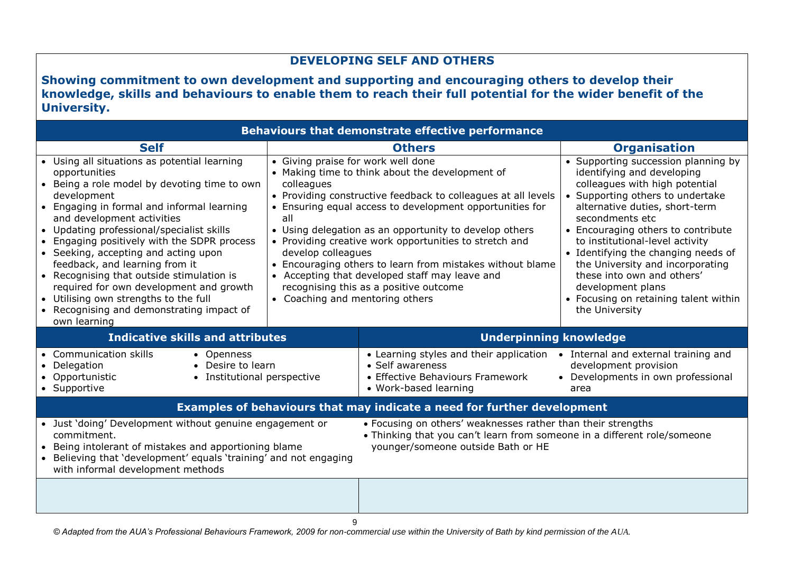## **DEVELOPING SELF AND OTHERS**

**Showing commitment to own development and supporting and encouraging others to develop their knowledge, skills and behaviours to enable them to reach their full potential for the wider benefit of the University.**

| <b>Behaviours that demonstrate effective performance</b>                                                                                                                                                                                                                                                                                                                                                                                                                                                                                                                   |                                                                                                                                                                                                                                                                                                                                                                                                                                                                                                                                                                               |                                                                                                                                                                                |                                                                                                                                                                                                                                                                                                                                                                                                                                                                |  |  |  |
|----------------------------------------------------------------------------------------------------------------------------------------------------------------------------------------------------------------------------------------------------------------------------------------------------------------------------------------------------------------------------------------------------------------------------------------------------------------------------------------------------------------------------------------------------------------------------|-------------------------------------------------------------------------------------------------------------------------------------------------------------------------------------------------------------------------------------------------------------------------------------------------------------------------------------------------------------------------------------------------------------------------------------------------------------------------------------------------------------------------------------------------------------------------------|--------------------------------------------------------------------------------------------------------------------------------------------------------------------------------|----------------------------------------------------------------------------------------------------------------------------------------------------------------------------------------------------------------------------------------------------------------------------------------------------------------------------------------------------------------------------------------------------------------------------------------------------------------|--|--|--|
| <b>Self</b>                                                                                                                                                                                                                                                                                                                                                                                                                                                                                                                                                                |                                                                                                                                                                                                                                                                                                                                                                                                                                                                                                                                                                               | <b>Others</b>                                                                                                                                                                  | <b>Organisation</b>                                                                                                                                                                                                                                                                                                                                                                                                                                            |  |  |  |
| • Using all situations as potential learning<br>opportunities<br>• Being a role model by devoting time to own<br>development<br>• Engaging in formal and informal learning<br>and development activities<br>• Updating professional/specialist skills<br>Engaging positively with the SDPR process<br>• Seeking, accepting and acting upon<br>feedback, and learning from it<br>• Recognising that outside stimulation is<br>required for own development and growth<br>• Utilising own strengths to the full<br>• Recognising and demonstrating impact of<br>own learning | • Giving praise for work well done<br>• Making time to think about the development of<br>colleagues<br>• Providing constructive feedback to colleagues at all levels<br>• Ensuring equal access to development opportunities for<br>all<br>• Using delegation as an opportunity to develop others<br>• Providing creative work opportunities to stretch and<br>develop colleagues<br>• Encouraging others to learn from mistakes without blame<br>• Accepting that developed staff may leave and<br>recognising this as a positive outcome<br>• Coaching and mentoring others |                                                                                                                                                                                | • Supporting succession planning by<br>identifying and developing<br>colleagues with high potential<br>• Supporting others to undertake<br>alternative duties, short-term<br>secondments etc<br>• Encouraging others to contribute<br>to institutional-level activity<br>• Identifying the changing needs of<br>the University and incorporating<br>these into own and others'<br>development plans<br>• Focusing on retaining talent within<br>the University |  |  |  |
| <b>Indicative skills and attributes</b>                                                                                                                                                                                                                                                                                                                                                                                                                                                                                                                                    |                                                                                                                                                                                                                                                                                                                                                                                                                                                                                                                                                                               | <b>Underpinning knowledge</b>                                                                                                                                                  |                                                                                                                                                                                                                                                                                                                                                                                                                                                                |  |  |  |
| <b>Communication skills</b><br>• Openness<br>• Desire to learn<br>• Delegation<br>• Opportunistic<br>• Institutional perspective<br>• Supportive                                                                                                                                                                                                                                                                                                                                                                                                                           |                                                                                                                                                                                                                                                                                                                                                                                                                                                                                                                                                                               | • Learning styles and their application • Internal and external training and<br>• Self awareness<br>• Effective Behaviours Framework<br>• Work-based learning                  | development provision<br>• Developments in own professional<br>area                                                                                                                                                                                                                                                                                                                                                                                            |  |  |  |
|                                                                                                                                                                                                                                                                                                                                                                                                                                                                                                                                                                            |                                                                                                                                                                                                                                                                                                                                                                                                                                                                                                                                                                               | Examples of behaviours that may indicate a need for further development                                                                                                        |                                                                                                                                                                                                                                                                                                                                                                                                                                                                |  |  |  |
| • Just 'doing' Development without genuine engagement or<br>commitment.<br>• Being intolerant of mistakes and apportioning blame<br>• Believing that 'development' equals 'training' and not engaging<br>with informal development methods                                                                                                                                                                                                                                                                                                                                 |                                                                                                                                                                                                                                                                                                                                                                                                                                                                                                                                                                               | • Focusing on others' weaknesses rather than their strengths<br>• Thinking that you can't learn from someone in a different role/someone<br>younger/someone outside Bath or HE |                                                                                                                                                                                                                                                                                                                                                                                                                                                                |  |  |  |
|                                                                                                                                                                                                                                                                                                                                                                                                                                                                                                                                                                            |                                                                                                                                                                                                                                                                                                                                                                                                                                                                                                                                                                               |                                                                                                                                                                                |                                                                                                                                                                                                                                                                                                                                                                                                                                                                |  |  |  |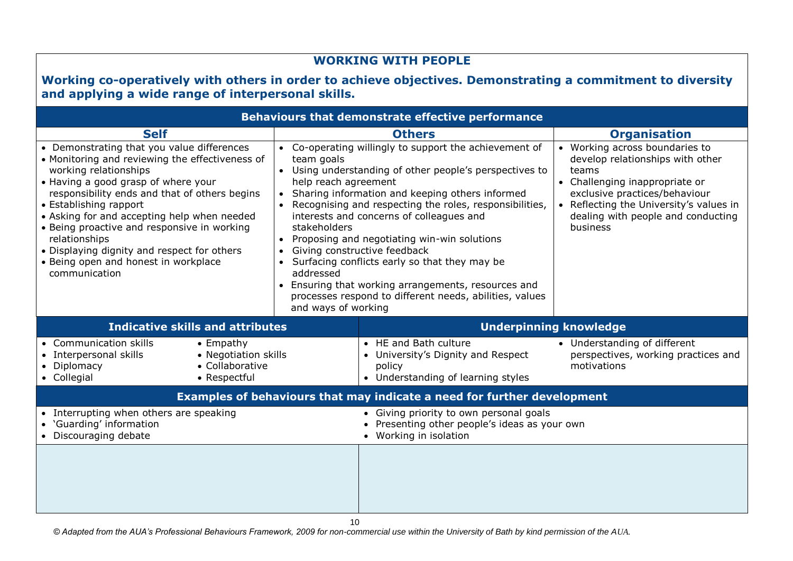| <b>WORKING WITH PEOPLE</b><br>Working co-operatively with others in order to achieve objectives. Demonstrating a commitment to diversity                                                                                                                                                                                                                                                                                                                        |                                                                                        |                                                                                                                                                                                                                                                                                                                                                                                                                                                                                                                                     |                                                                                                                                                                                                                                             |  |  |  |  |
|-----------------------------------------------------------------------------------------------------------------------------------------------------------------------------------------------------------------------------------------------------------------------------------------------------------------------------------------------------------------------------------------------------------------------------------------------------------------|----------------------------------------------------------------------------------------|-------------------------------------------------------------------------------------------------------------------------------------------------------------------------------------------------------------------------------------------------------------------------------------------------------------------------------------------------------------------------------------------------------------------------------------------------------------------------------------------------------------------------------------|---------------------------------------------------------------------------------------------------------------------------------------------------------------------------------------------------------------------------------------------|--|--|--|--|
| and applying a wide range of interpersonal skills.<br><b>Behaviours that demonstrate effective performance</b>                                                                                                                                                                                                                                                                                                                                                  |                                                                                        |                                                                                                                                                                                                                                                                                                                                                                                                                                                                                                                                     |                                                                                                                                                                                                                                             |  |  |  |  |
| <b>Self</b>                                                                                                                                                                                                                                                                                                                                                                                                                                                     |                                                                                        | <b>Others</b>                                                                                                                                                                                                                                                                                                                                                                                                                                                                                                                       | <b>Organisation</b>                                                                                                                                                                                                                         |  |  |  |  |
| • Demonstrating that you value differences<br>• Monitoring and reviewing the effectiveness of<br>working relationships<br>• Having a good grasp of where your<br>responsibility ends and that of others begins<br>• Establishing rapport<br>• Asking for and accepting help when needed<br>• Being proactive and responsive in working<br>relationships<br>• Displaying dignity and respect for others<br>• Being open and honest in workplace<br>communication | team goals<br>help reach agreement<br>stakeholders<br>addressed<br>and ways of working | • Co-operating willingly to support the achievement of<br>• Using understanding of other people's perspectives to<br>Sharing information and keeping others informed<br>• Recognising and respecting the roles, responsibilities,<br>interests and concerns of colleagues and<br>• Proposing and negotiating win-win solutions<br>Giving constructive feedback<br>• Surfacing conflicts early so that they may be<br>• Ensuring that working arrangements, resources and<br>processes respond to different needs, abilities, values | • Working across boundaries to<br>develop relationships with other<br>teams<br>• Challenging inappropriate or<br>exclusive practices/behaviour<br>• Reflecting the University's values in<br>dealing with people and conducting<br>business |  |  |  |  |
| <b>Indicative skills and attributes</b>                                                                                                                                                                                                                                                                                                                                                                                                                         |                                                                                        | <b>Underpinning knowledge</b>                                                                                                                                                                                                                                                                                                                                                                                                                                                                                                       |                                                                                                                                                                                                                                             |  |  |  |  |
| • Communication skills<br>$\bullet$ Empathy<br>• Negotiation skills<br>• Interpersonal skills<br>• Collaborative<br>Diplomacy<br>• Collegial<br>• Respectful                                                                                                                                                                                                                                                                                                    |                                                                                        | • HE and Bath culture<br>• University's Dignity and Respect<br>policy<br>• Understanding of learning styles                                                                                                                                                                                                                                                                                                                                                                                                                         | • Understanding of different<br>perspectives, working practices and<br>motivations                                                                                                                                                          |  |  |  |  |
|                                                                                                                                                                                                                                                                                                                                                                                                                                                                 |                                                                                        | Examples of behaviours that may indicate a need for further development                                                                                                                                                                                                                                                                                                                                                                                                                                                             |                                                                                                                                                                                                                                             |  |  |  |  |
| • Interrupting when others are speaking<br>• 'Guarding' information<br>• Discouraging debate                                                                                                                                                                                                                                                                                                                                                                    |                                                                                        | • Giving priority to own personal goals<br>• Presenting other people's ideas as your own<br>• Working in isolation                                                                                                                                                                                                                                                                                                                                                                                                                  |                                                                                                                                                                                                                                             |  |  |  |  |
|                                                                                                                                                                                                                                                                                                                                                                                                                                                                 |                                                                                        |                                                                                                                                                                                                                                                                                                                                                                                                                                                                                                                                     |                                                                                                                                                                                                                                             |  |  |  |  |